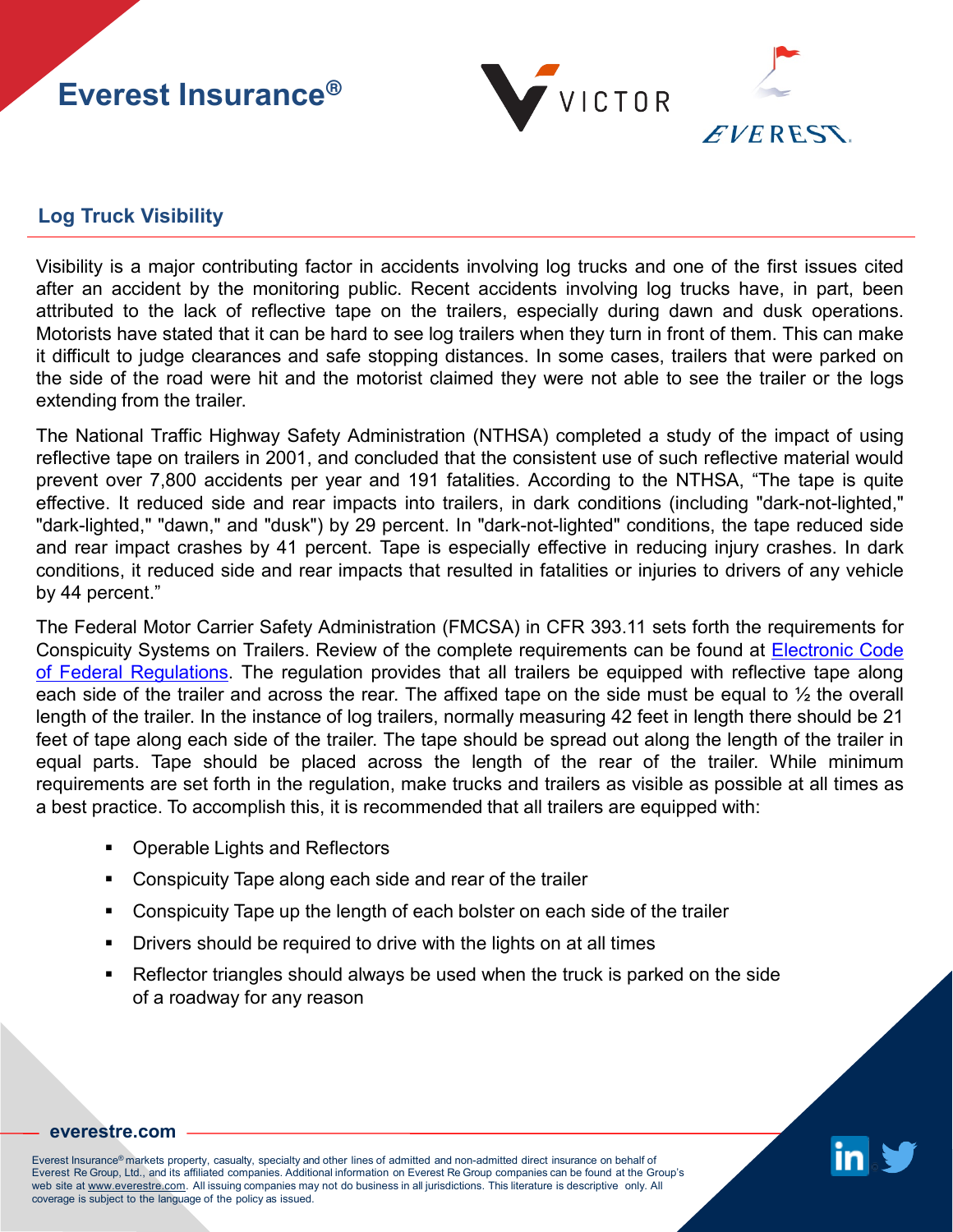## **Everest Insurance®**



## **Log Truck Visibility**

Visibility is a major contributing factor in accidents involving log trucks and one of the first issues cited after an accident by the monitoring public. Recent accidents involving log trucks have, in part, been attributed to the lack of reflective tape on the trailers, especially during dawn and dusk operations. Motorists have stated that it can be hard to see log trailers when they turn in front of them. This can make it difficult to judge clearances and safe stopping distances. In some cases, trailers that were parked on the side of the road were hit and the motorist claimed they were not able to see the trailer or the logs extending from the trailer.

The National Traffic Highway Safety Administration (NTHSA) completed a study of the impact of using reflective tape on trailers in 2001, and concluded that the consistent use of such reflective material would prevent over 7,800 accidents per year and 191 fatalities. According to the NTHSA, "The tape is quite effective. It reduced side and rear impacts into trailers, in dark conditions (including "dark-not-lighted," "dark-lighted," "dawn," and "dusk") by 29 percent. In "dark-not-lighted" conditions, the tape reduced side and rear impact crashes by 41 percent. Tape is especially effective in reducing injury crashes. In dark conditions, it reduced side and rear impacts that resulted in fatalities or injuries to drivers of any vehicle by 44 percent."

The Federal Motor Carrier Safety Administration (FMCSA) in CFR 393.11 sets forth the requirements for Conspicuity Systems on Trailers. Review of the complete requirements can be found at [Electronic](https://www.ecfr.gov/cgi-bin/text-idx?SID=4116315f48d7d576db4c3bf6526c2bd8&mc=true&node=se49.5.393_111&rgn=div8) Code of Federal [Regulations.](https://www.ecfr.gov/cgi-bin/text-idx?SID=4116315f48d7d576db4c3bf6526c2bd8&mc=true&node=se49.5.393_111&rgn=div8) The regulation provides that all trailers be equipped with reflective tape along each side of the trailer and across the rear. The affixed tape on the side must be equal to ½ the overall length of the trailer. In the instance of log trailers, normally measuring 42 feet in length there should be 21 feet of tape along each side of the trailer. The tape should be spread out along the length of the trailer in equal parts. Tape should be placed across the length of the rear of the trailer. While minimum requirements are set forth in the regulation, make trucks and trailers as visible as possible at all times as a best practice. To accomplish this, it is recommended that all trailers are equipped with:

- **Operable Lights and Reflectors**
- Conspicuity Tape along each side and rear of the trailer
- Conspicuity Tape up the length of each bolster on each side of the trailer
- Drivers should be required to drive with the lights on at all times
- Reflector triangles should always be used when the truck is parked on the side of a roadway for any reason



## **[everestre.com](http://www.everestre.com/)**

Everest Insurance® markets property, casualty, specialty and other lines of admitted and non-admitted direct insurance on behalf of Everest Re Group, Ltd., and its affiliated companies. Additional information on Everest Re Group companies can be found at the Group's web site at www.everestre.com. All issuing companies may not do business in all jurisdictions. This literature is descriptive only. All coverage is subject to the language of the policy as issued.